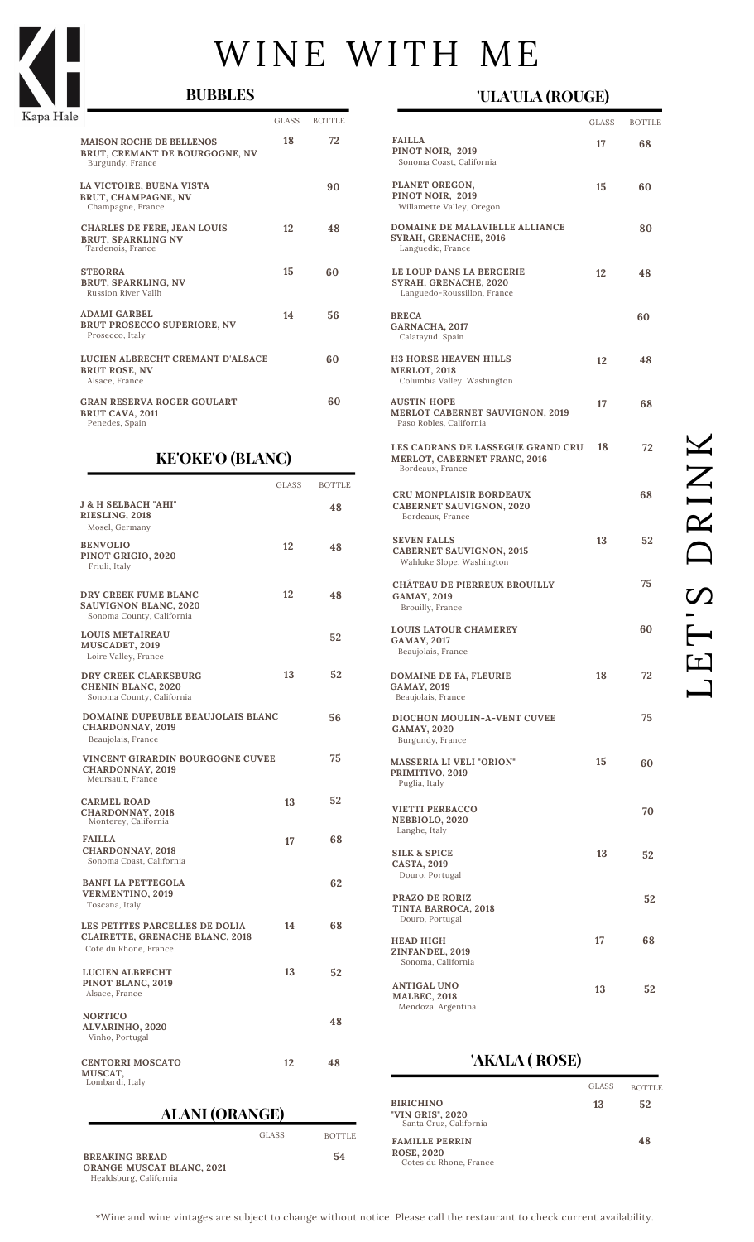

# WINE WITH ME

## **BUBBLES**

| v                                                                                     | <b>GLASS</b> | <b>BOTTLE</b> |
|---------------------------------------------------------------------------------------|--------------|---------------|
| <b>MAISON ROCHE DE BELLENOS</b><br>BRUT, CREMANT DE BOURGOGNE, NV<br>Burgundy, France | 18           | 72            |
| LA VICTOIRE, BUENA VISTA<br><b>BRUT. CHAMPAGNE, NV</b><br>Champagne, France           |              | 90            |
| <b>CHARLES DE FERE, JEAN LOUIS</b><br><b>BRUT, SPARKLING NV</b><br>Tardenois, France  | 12           | 48            |
| <b>STEORRA</b><br><b>BRUT, SPARKLING, NV</b><br>Russion River Vallh                   | 15           | 60            |
| <b>ADAMI GARBEL</b><br><b>BRUT PROSECCO SUPERIORE, NV</b><br>Prosecco, Italy          | 14           | 56            |
| LUCIEN ALBRECHT CREMANT D'ALSACE<br><b>BRUT ROSE, NV</b><br>Alsace, France            |              | 60            |
| <b>GRAN RESERVA ROGER GOULART</b><br><b>BRUT CAVA, 2011</b><br>Penedes, Spain         |              | 60            |

## **KE'OKE'O (BLANC)**

|                                                                                                   | GLASS | <b>BOTTLE</b> |
|---------------------------------------------------------------------------------------------------|-------|---------------|
| <b>J &amp; H SELBACH "AHI"</b><br>RIESLING, 2018<br>Mosel, Germany                                |       | 48            |
| <b>BENVOLIO</b><br>PINOT GRIGIO, 2020<br>Friuli, Italy                                            | 12    | 48            |
| DRY CREEK FUME BLANC<br><b>SAUVIGNON BLANC, 2020</b><br>Sonoma County, California                 | 12    | 48            |
| <b>LOUIS METAIREAU</b><br>MUSCADET, 2019<br>Loire Valley, France                                  |       | 52            |
| <b>DRY CREEK CLARKSBURG</b><br><b>CHENIN BLANC, 2020</b><br>Sonoma County, California             | 13    | 52            |
| DOMAINE DUPEUBLE BEAUJOLAIS BLANC<br><b>CHARDONNAY, 2019</b><br>Beaujolais, France                |       | 56            |
| VINCENT GIRARDIN BOURGOGNE CUVEE<br>CHARDONNAY, 2019<br>Meursault, France                         |       | 75            |
| <b>CARMEL ROAD</b><br><b>CHARDONNAY, 2018</b><br>Monterey, California                             | 13    | 52            |
| <b>FAILLA</b><br><b>CHARDONNAY, 2018</b><br>Sonoma Coast, California                              | 17    | 68            |
| <b>BANFI LA PETTEGOLA</b><br><b>VERMENTINO, 2019</b><br>Toscana, Italy                            |       | 62            |
| LES PETITES PARCELLES DE DOLIA<br><b>CLAIRETTE, GRENACHE BLANC, 2018</b><br>Cote du Rhone, France | 14    | 68            |
| <b>LUCIEN ALBRECHT</b><br>PINOT BLANC, 2019<br>Alsace, France                                     | 13    | 52            |
| <b>NORTICO</b><br><b>ALVARINHO, 2020</b><br>Vinho, Portugal                                       |       | 48            |
| <b>CENTORRI MOSCATO</b><br>MUSCAT,<br>Lombardi, Italy                                             | 12    | 48            |
| <b>ALANI (ORANGE)</b>                                                                             |       |               |
|                                                                                                   | GLASS | BOTTLE        |

**BREAKING BREAD**

**ORANGE MUSCAT BLANC, 2021** Healdsburg, California

| 'ULA'ULA (ROUGE) |  |
|------------------|--|
|------------------|--|

|                                                                                         | GLASS | BOTTLE |
|-----------------------------------------------------------------------------------------|-------|--------|
| <b>FAILLA</b><br>PINOT NOIR, 2019<br>Sonoma Coast, California                           | 17    | 68     |
| PLANET OREGON,<br>PINOT NOIR, 2019<br>Willamette Valley, Oregon                         | 15    | 60     |
| DOMAINE DE MALAVIELLE ALLIANCE<br>SYRAH, GRENACHE, 2016<br>Languedic, France            |       | 80     |
| LE LOUP DANS LA BERGERIE<br>SYRAH, GRENACHE, 2020<br>Languedo-Roussillon, France        | 12    | 48     |
| <b>BRECA</b><br>GARNACHA, 2017<br>Calatayud, Spain                                      |       | 60     |
| <b>H3 HORSE HEAVEN HILLS</b><br>MERLOT, 2018<br>Columbia Valley, Washington             | 12    | 48     |
| <b>AUSTIN HOPE</b><br><b>MERLOT CABERNET SAUVIGNON, 2019</b><br>Paso Robles, California | 17    | 68     |
| LES CADRANS DE LASSEGUE GRAND CRU<br>MERLOT, CABERNET FRANC, 2016<br>Bordeaux, France   | 18    | 72     |
| <b>CRU MONPLAISIR BORDEAUX</b><br><b>CABERNET SAUVIGNON, 2020</b><br>Bordeaux, France   |       | 68     |
| <b>SEVEN FALLS</b><br><b>CABERNET SAUVIGNON, 2015</b><br>Wahluke Slope, Washington      | 13    | 52     |
| <b>CHÂTEAU DE PIERREUX BROUILLY</b><br><b>GAMAY, 2019</b><br>Brouilly, France           |       | 75     |
| <b>LOUIS LATOUR CHAMEREY</b><br><b>GAMAY, 2017</b><br>Beaujolais, France                |       | 60     |
| <b>DOMAINE DE FA, FLEURIE</b><br>GAMAY, 2019<br>Beaujolais, France                      | 18    | 72     |
| <b>DIOCHON MOULIN-A-VENT CUVEE</b><br><b>GAMAY, 2020</b><br>Burgundy, France            |       | 75     |
| <b>MASSERIA LI VELI "ORION"</b><br>PRIMITIVO, 2019<br>Puglia, Italy                     | 15    | 60     |
| <b>VIETTI PERBACCO</b><br>NEBBIOLO, 2020<br>Langhe, Italy                               |       | 70     |
| <b>SILK &amp; SPICE</b><br><b>CASTA, 2019</b><br>Douro, Portugal                        | 13    | 52     |
| <b>PRAZO DE RORIZ</b><br>TINTA BARROCA, 2018<br>Douro, Portugal                         |       | 52     |
| <b>HEAD HIGH</b><br>ZINFANDEL, 2019<br>Sonoma, California                               | 17    | 68     |
| <b>ANTIGAL UNO</b><br><b>MALBEC, 2018</b><br>Mendoza, Argentina                         | 13    | 52     |

## **'AKALA ( ROSE)**

|                                                         | <b>GLASS</b> | <b>BOTTLE</b> |
|---------------------------------------------------------|--------------|---------------|
| BIRICHINO<br>"VIN GRIS", 2020<br>Santa Cruz, California | 13           | 52            |
| <b>FAMILLE PERRIN</b><br><b>ROSE, 2020</b>              |              | 48            |
| Cotes du Rhone, France                                  |              |               |

K

**54**